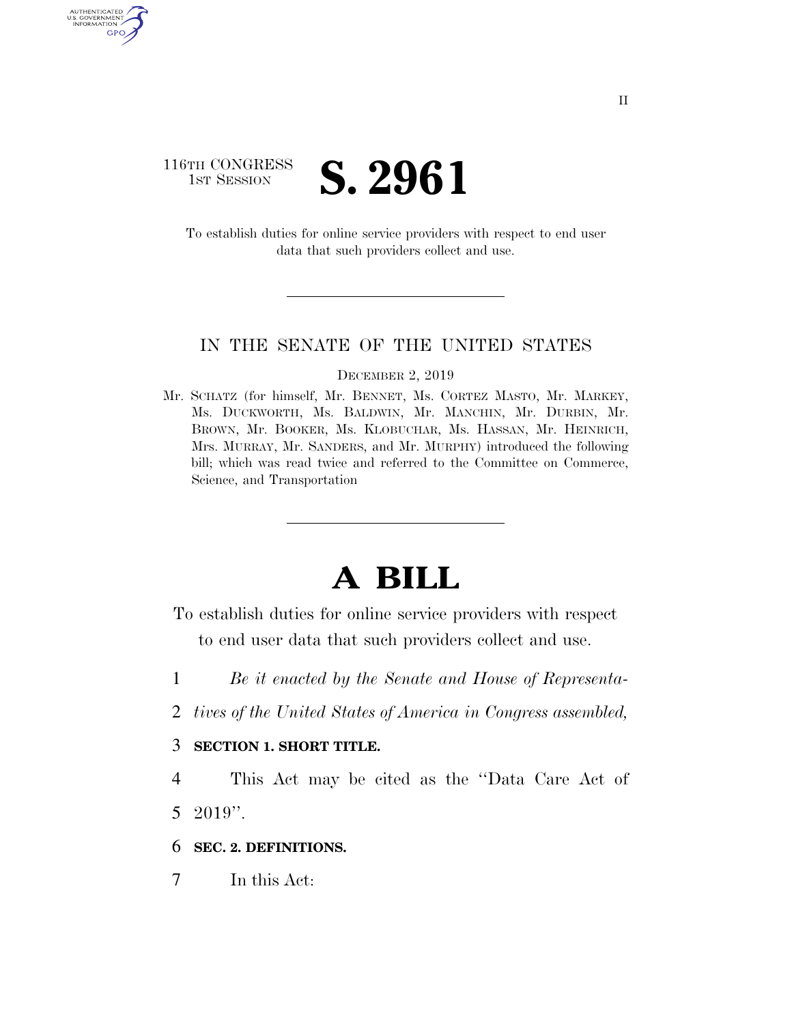# 116TH CONGRESS **IST SESSION S. 2961**

AUTHENTICATE U.S. GOVERNMENT GPO

> To establish duties for online service providers with respect to end user data that such providers collect and use.

### IN THE SENATE OF THE UNITED STATES

#### DECEMBER 2, 2019

Mr. SCHATZ (for himself, Mr. BENNET, Ms. CORTEZ MASTO, Mr. MARKEY, Ms. DUCKWORTH, Ms. BALDWIN, Mr. MANCHIN, Mr. DURBIN, Mr. BROWN, Mr. BOOKER, Ms. KLOBUCHAR, Ms. HASSAN, Mr. HEINRICH, Mrs. MURRAY, Mr. SANDERS, and Mr. MURPHY) introduced the following bill; which was read twice and referred to the Committee on Commerce, Science, and Transportation

# **A BILL**

- To establish duties for online service providers with respect to end user data that such providers collect and use.
- 1 *Be it enacted by the Senate and House of Representa-*
- 2 *tives of the United States of America in Congress assembled,*

## 3 **SECTION 1. SHORT TITLE.**

4 This Act may be cited as the ''Data Care Act of 5 2019''.

6 **SEC. 2. DEFINITIONS.** 

7 In this Act: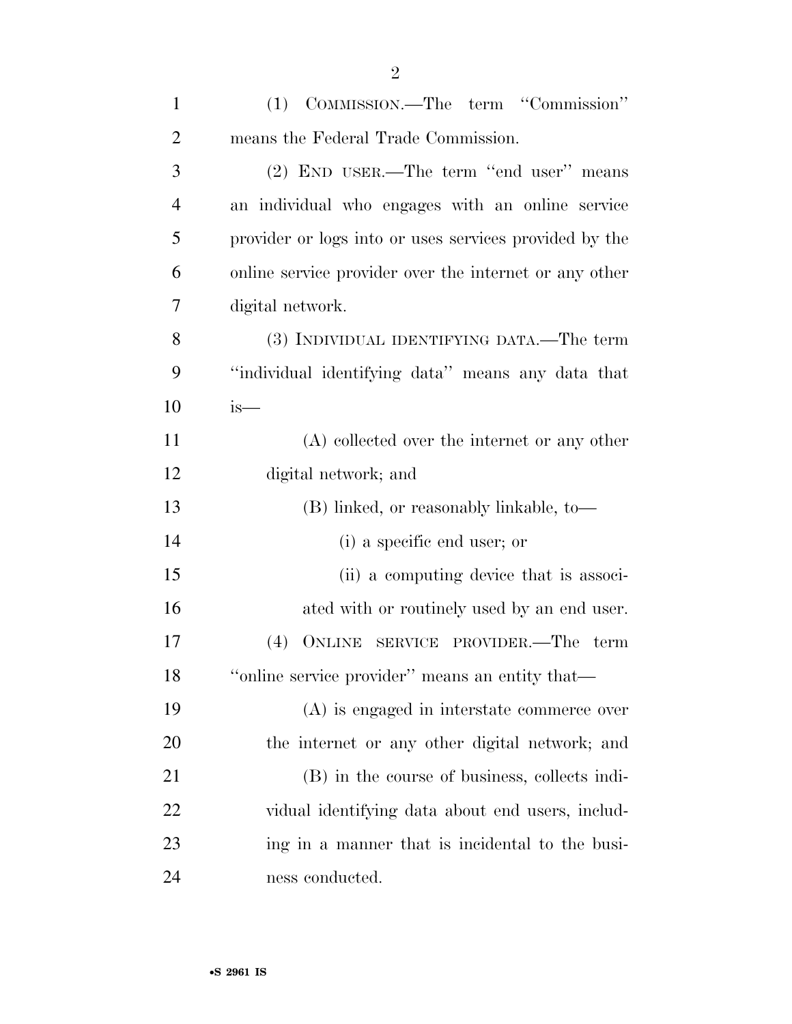| $\mathbf{1}$   | (1) COMMISSION.—The term "Commission"                  |
|----------------|--------------------------------------------------------|
| $\overline{2}$ | means the Federal Trade Commission.                    |
| 3              | (2) END USER.—The term "end user" means                |
| $\overline{4}$ | an individual who engages with an online service       |
| 5              | provider or logs into or uses services provided by the |
| 6              | online service provider over the internet or any other |
| 7              | digital network.                                       |
| 8              | (3) INDIVIDUAL IDENTIFYING DATA.—The term              |
| 9              | "individual identifying data" means any data that      |
| 10             | $is-$                                                  |
| 11             | $(A)$ collected over the internet or any other         |
| 12             | digital network; and                                   |
| 13             | (B) linked, or reasonably linkable, to-                |
| 14             | (i) a specific end user; or                            |
| 15             | (ii) a computing device that is associ-                |
| 16             | ated with or routinely used by an end user.            |
| 17             | (4)<br>ONLINE SERVICE PROVIDER.—The term               |
| 18             | "online service provider" means an entity that-        |
| 19             | (A) is engaged in interstate commerce over             |
| 20             | the internet or any other digital network; and         |
| 21             | (B) in the course of business, collects indi-          |
| 22             | vidual identifying data about end users, includ-       |
| 23             | ing in a manner that is incidental to the busi-        |
| 24             | ness conducted.                                        |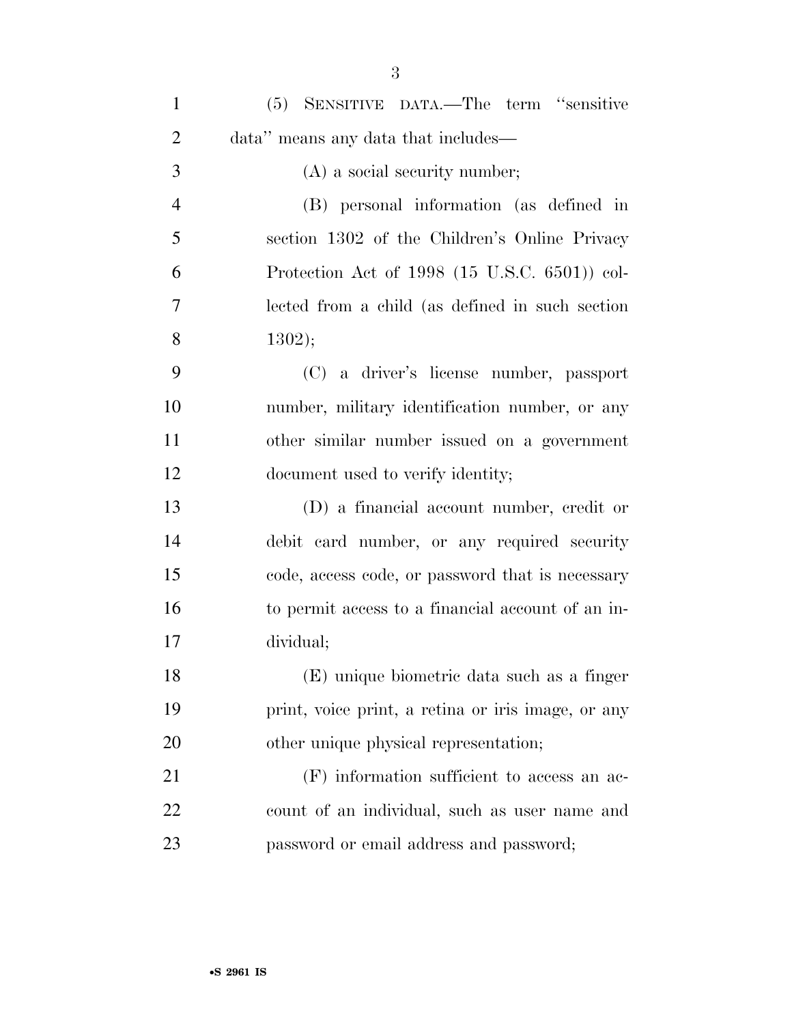| $\mathbf{1}$   | (5) SENSITIVE DATA.—The term "sensitive                 |
|----------------|---------------------------------------------------------|
| $\overline{2}$ | data" means any data that includes—                     |
| 3              | $(A)$ a social security number;                         |
| $\overline{4}$ | (B) personal information (as defined in                 |
| 5              | section 1302 of the Children's Online Privacy           |
| 6              | Protection Act of 1998 $(15 \text{ U.S.C. } 6501)$ col- |
| 7              | lected from a child (as defined in such section         |
| 8              | 1302);                                                  |
| 9              | (C) a driver's license number, passport                 |
| 10             | number, military identification number, or any          |
| 11             | other similar number issued on a government             |
| 12             | document used to verify identity;                       |
| 13             | (D) a financial account number, credit or               |
| 14             | debit card number, or any required security             |
| 15             | code, access code, or password that is necessary        |
| 16             | to permit access to a financial account of an in-       |
| 17             | dividual;                                               |
| 18             | (E) unique biometric data such as a finger              |
| 19             | print, voice print, a retina or iris image, or any      |
| 20             | other unique physical representation;                   |
| 21             | $(F)$ information sufficient to access an ac-           |
| 22             | count of an individual, such as user name and           |
| 23             | password or email address and password;                 |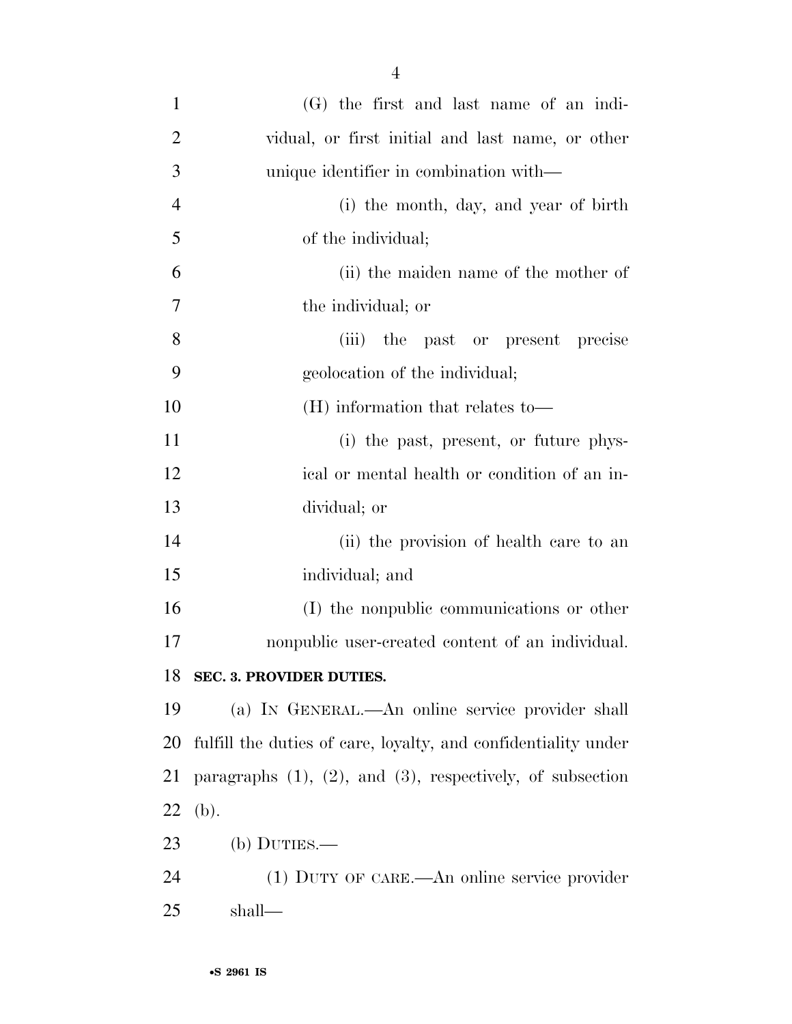| $\mathbf{1}$   | (G) the first and last name of an indi-                            |
|----------------|--------------------------------------------------------------------|
| $\overline{2}$ | vidual, or first initial and last name, or other                   |
| 3              | unique identifier in combination with—                             |
| $\overline{4}$ | (i) the month, day, and year of birth                              |
| 5              | of the individual;                                                 |
| 6              | (ii) the maiden name of the mother of                              |
| $\overline{7}$ | the individual; or                                                 |
| 8              | (iii)<br>the past or present precise                               |
| 9              | geolocation of the individual;                                     |
| 10             | (H) information that relates to—                                   |
| 11             | (i) the past, present, or future phys-                             |
| 12             | ical or mental health or condition of an in-                       |
| 13             | dividual; or                                                       |
| 14             | (ii) the provision of health care to an                            |
| 15             | individual; and                                                    |
| 16             | (I) the nonpublic communications or other                          |
| 17             | nonpublic user-created content of an individual.                   |
| 18             | <b>SEC. 3. PROVIDER DUTIES.</b>                                    |
| 19             | (a) IN GENERAL.—An online service provider shall                   |
| <b>20</b>      | fulfill the duties of care, loyalty, and confidentiality under     |
| 21             | paragraphs $(1)$ , $(2)$ , and $(3)$ , respectively, of subsection |
| 22             | (b).                                                               |
| 23             | $(b)$ DUTIES.—                                                     |
| 24             | (1) DUTY OF CARE.—An online service provider                       |
| 25             | shall—                                                             |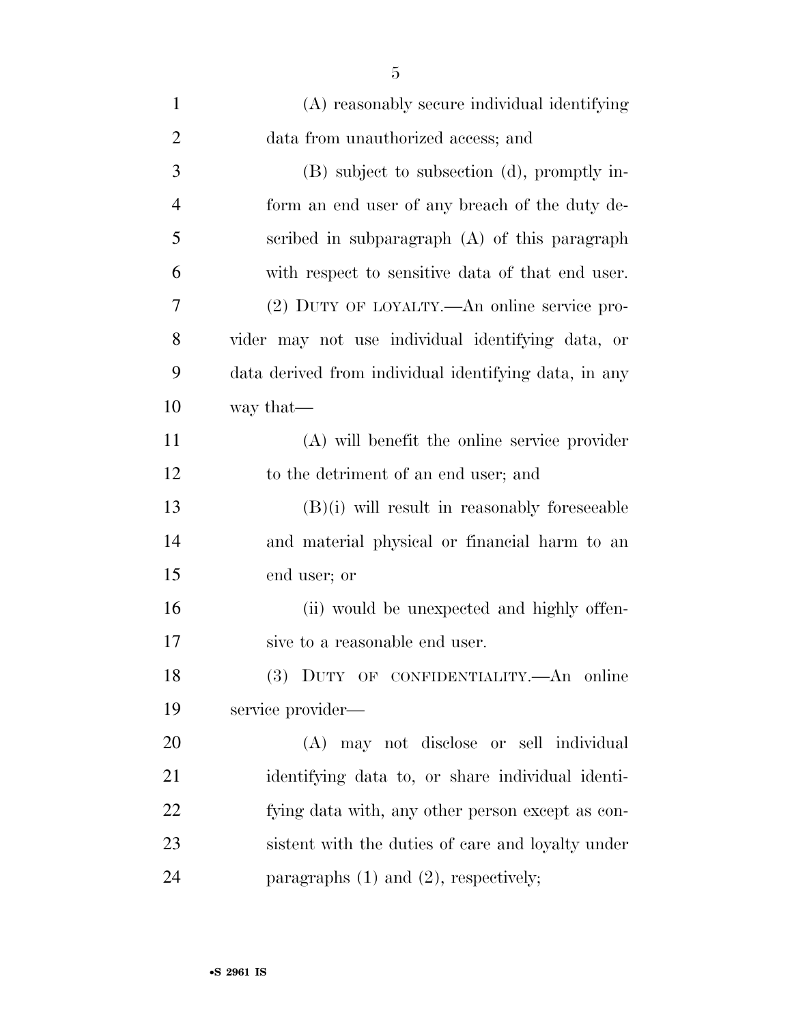| $\mathbf{1}$   | (A) reasonably secure individual identifying          |
|----------------|-------------------------------------------------------|
| $\overline{2}$ | data from unauthorized access; and                    |
| 3              | (B) subject to subsection (d), promptly in-           |
| $\overline{4}$ | form an end user of any breach of the duty de-        |
| 5              | scribed in subparagraph (A) of this paragraph         |
| 6              | with respect to sensitive data of that end user.      |
| 7              | (2) DUTY OF LOYALTY.—An online service pro-           |
| 8              | vider may not use individual identifying data, or     |
| 9              | data derived from individual identifying data, in any |
| 10             | way that—                                             |
| 11             | (A) will benefit the online service provider          |
| 12             | to the detriment of an end user; and                  |
| 13             | $(B)(i)$ will result in reasonably foreseeable        |
| 14             | and material physical or financial harm to an         |
| 15             | end user; or                                          |
| 16             | (ii) would be unexpected and highly offen-            |
| 17             | sive to a reasonable end user.                        |
| 18             | (3) DUTY OF CONFIDENTIALITY.—An online                |
| 19             | service provider—                                     |
| 20             | (A) may not disclose or sell individual               |
| 21             | identifying data to, or share individual identi-      |
| 22             | fying data with, any other person except as con-      |
| 23             | sistent with the duties of care and loyalty under     |
| 24             | paragraphs $(1)$ and $(2)$ , respectively;            |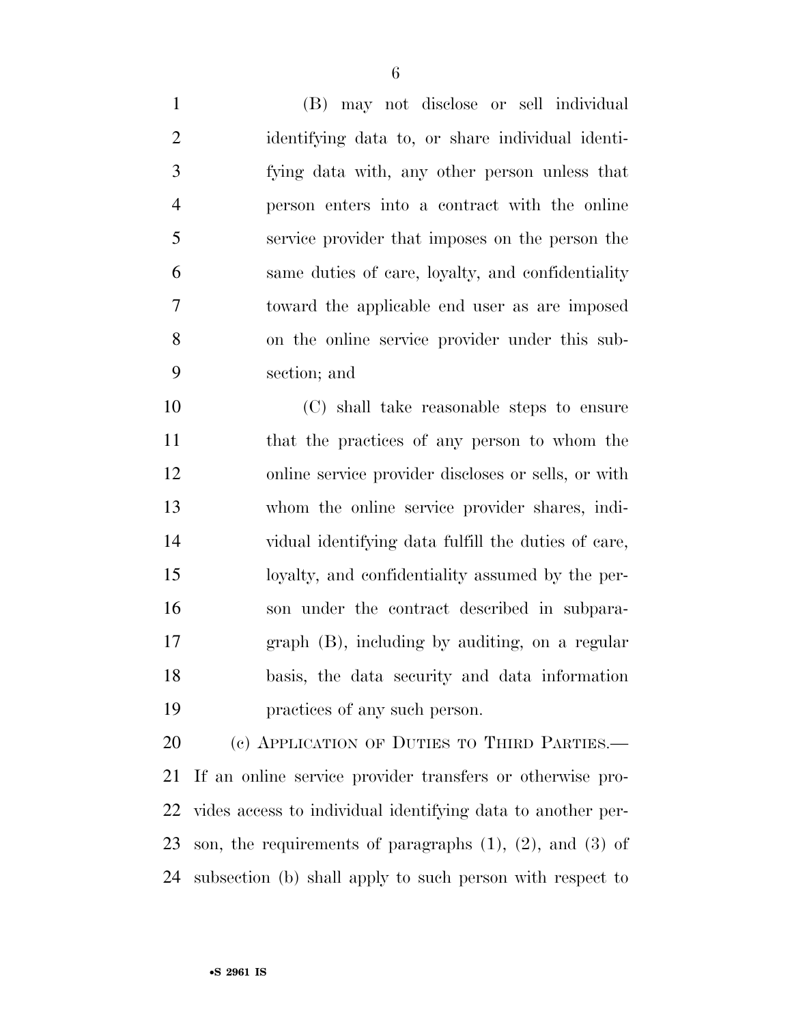(B) may not disclose or sell individual identifying data to, or share individual identi- fying data with, any other person unless that person enters into a contract with the online service provider that imposes on the person the same duties of care, loyalty, and confidentiality toward the applicable end user as are imposed on the online service provider under this sub-section; and

 (C) shall take reasonable steps to ensure that the practices of any person to whom the online service provider discloses or sells, or with whom the online service provider shares, indi- vidual identifying data fulfill the duties of care, loyalty, and confidentiality assumed by the per- son under the contract described in subpara- graph (B), including by auditing, on a regular basis, the data security and data information practices of any such person.

20 (c) APPLICATION OF DUTIES TO THIRD PARTIES.— If an online service provider transfers or otherwise pro- vides access to individual identifying data to another per- son, the requirements of paragraphs (1), (2), and (3) of subsection (b) shall apply to such person with respect to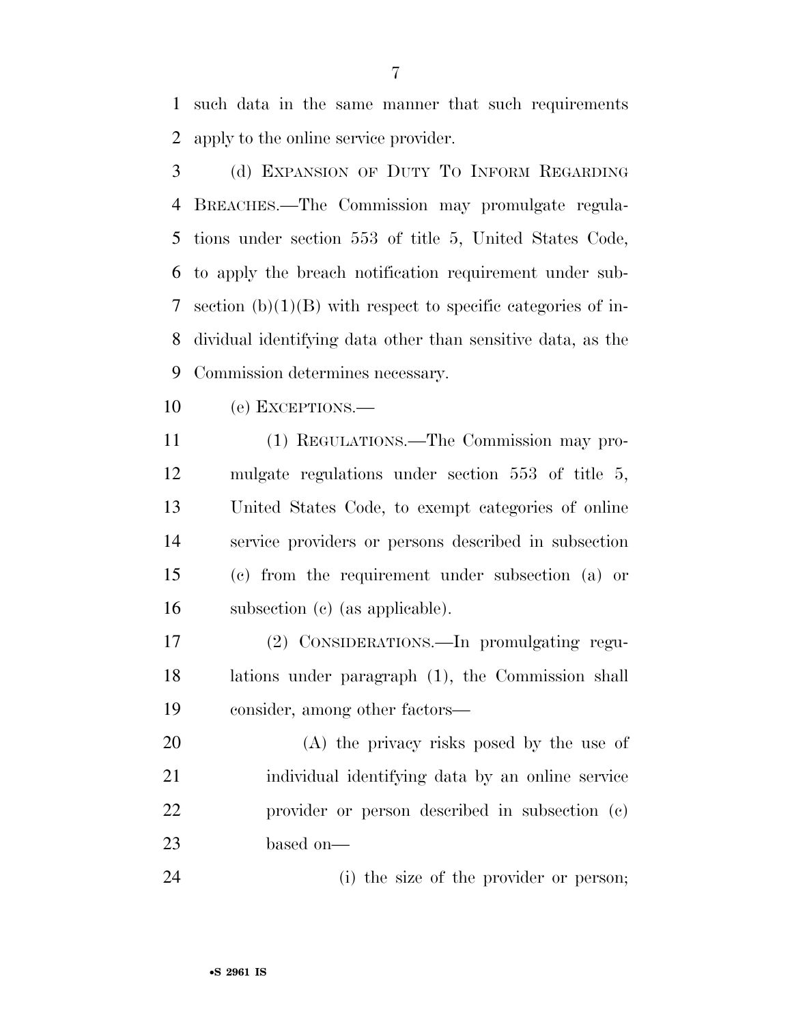such data in the same manner that such requirements apply to the online service provider.

 (d) EXPANSION OF DUTY TO INFORM REGARDING BREACHES.—The Commission may promulgate regula- tions under section 553 of title 5, United States Code, to apply the breach notification requirement under sub- section (b)(1)(B) with respect to specific categories of in- dividual identifying data other than sensitive data, as the Commission determines necessary.

(e) EXCEPTIONS.—

 (1) REGULATIONS.—The Commission may pro- mulgate regulations under section 553 of title 5, United States Code, to exempt categories of online service providers or persons described in subsection (c) from the requirement under subsection (a) or subsection (c) (as applicable).

 (2) CONSIDERATIONS.—In promulgating regu- lations under paragraph (1), the Commission shall consider, among other factors—

 (A) the privacy risks posed by the use of individual identifying data by an online service provider or person described in subsection (c) based on—

(i) the size of the provider or person;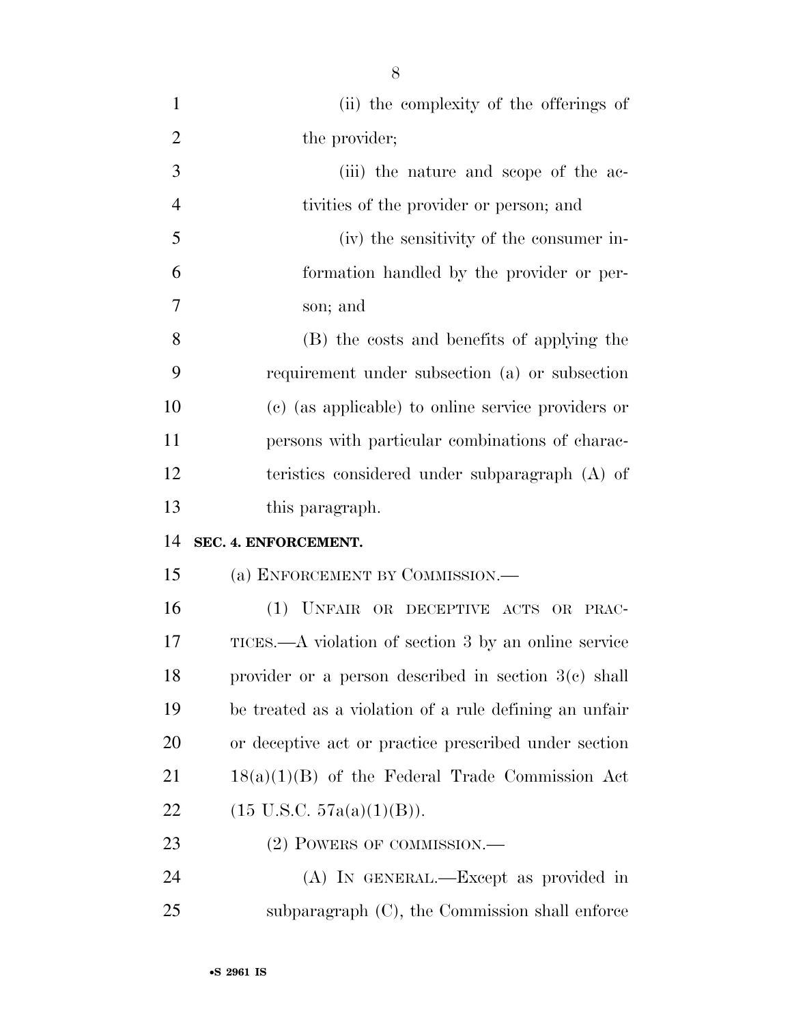| $\mathbf{1}$   | (ii) the complexity of the offerings of                |
|----------------|--------------------------------------------------------|
| $\overline{2}$ | the provider;                                          |
| 3              | (iii) the nature and scope of the ac-                  |
| $\overline{4}$ | tivities of the provider or person; and                |
| 5              | (iv) the sensitivity of the consumer in-               |
| 6              | formation handled by the provider or per-              |
| 7              | son; and                                               |
| 8              | (B) the costs and benefits of applying the             |
| 9              | requirement under subsection (a) or subsection         |
| 10             | (c) (as applicable) to online service providers or     |
| 11             | persons with particular combinations of charac-        |
| 12             | teristics considered under subparagraph (A) of         |
| 13             | this paragraph.                                        |
| 14             | SEC. 4. ENFORCEMENT.                                   |
| 15             | (a) ENFORCEMENT BY COMMISSION.-                        |
| 16             | (1) UNFAIR OR DECEPTIVE ACTS OR PRAC-                  |
| 17             | TICES.—A violation of section 3 by an online service   |
| 18             | provider or a person described in section $3(c)$ shall |
| 19             | be treated as a violation of a rule defining an unfair |
| 20             | or deceptive act or practice prescribed under section  |
| 21             | $18(a)(1)(B)$ of the Federal Trade Commission Act      |
| 22             | $(15 \text{ U.S.C. } 57a(a)(1)(B)).$                   |
| 23             | (2) POWERS OF COMMISSION.—                             |
| 24             | (A) IN GENERAL.—Except as provided in                  |
| 25             | subparagraph $(C)$ , the Commission shall enforce      |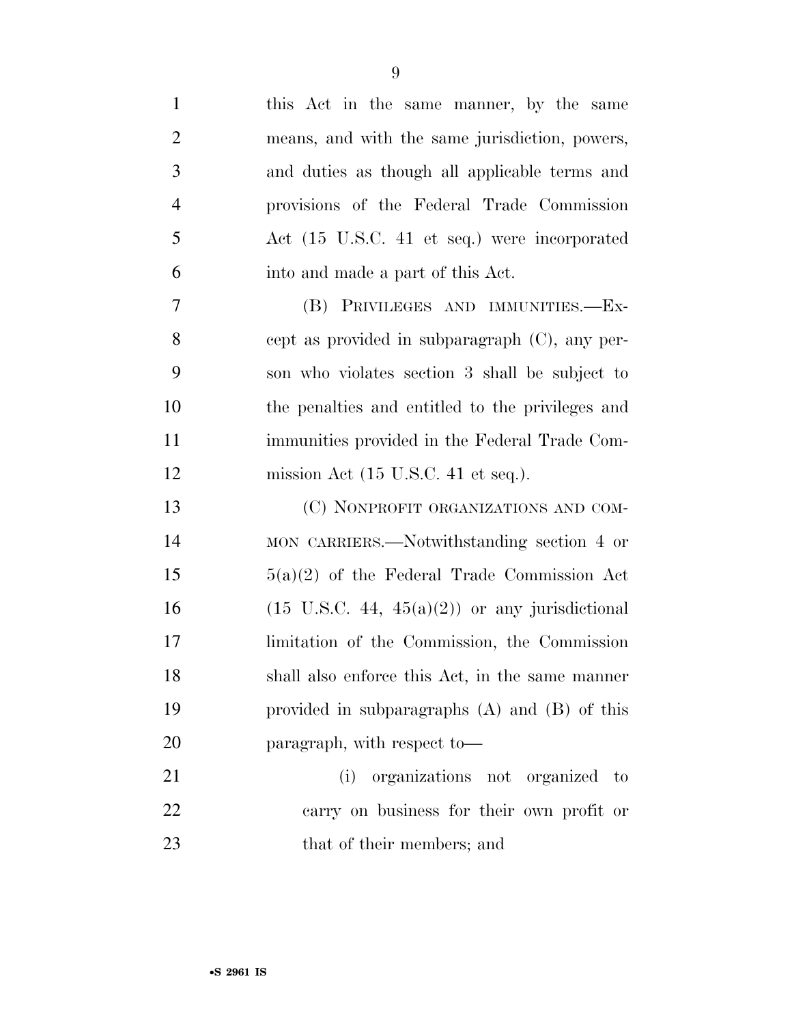| $\mathbf{1}$   | this Act in the same manner, by the same                  |
|----------------|-----------------------------------------------------------|
| $\overline{2}$ | means, and with the same jurisdiction, powers,            |
| 3              | and duties as though all applicable terms and             |
| $\overline{4}$ | provisions of the Federal Trade Commission                |
| 5              | Act (15 U.S.C. 41 et seq.) were incorporated              |
| 6              | into and made a part of this Act.                         |
| 7              | (B) PRIVILEGES AND IMMUNITIES.-Ex-                        |
| 8              | cept as provided in subparagraph $(C)$ , any per-         |
| 9              | son who violates section 3 shall be subject to            |
| 10             | the penalties and entitled to the privileges and          |
| 11             | immunities provided in the Federal Trade Com-             |
| 12             | mission Act $(15 \text{ U.S.C. } 41 \text{ et seq.}).$    |
| 13             | (C) NONPROFIT ORGANIZATIONS AND COM-                      |
| 14             | MON CARRIERS.—Notwithstanding section 4 or                |
| 15             | $5(a)(2)$ of the Federal Trade Commission Act             |
| 16             | $(15 \text{ U.S.C. } 44, 45(a)(2))$ or any jurisdictional |
| 17             | limitation of the Commission, the Commission              |
| 18             | shall also enforce this Act, in the same manner           |
| 19             | provided in subparagraphs $(A)$ and $(B)$ of this         |
| 20             | paragraph, with respect to-                               |
| 21             | organizations not organized to<br>(i)                     |
| 22             | carry on business for their own profit or                 |
| 23             | that of their members; and                                |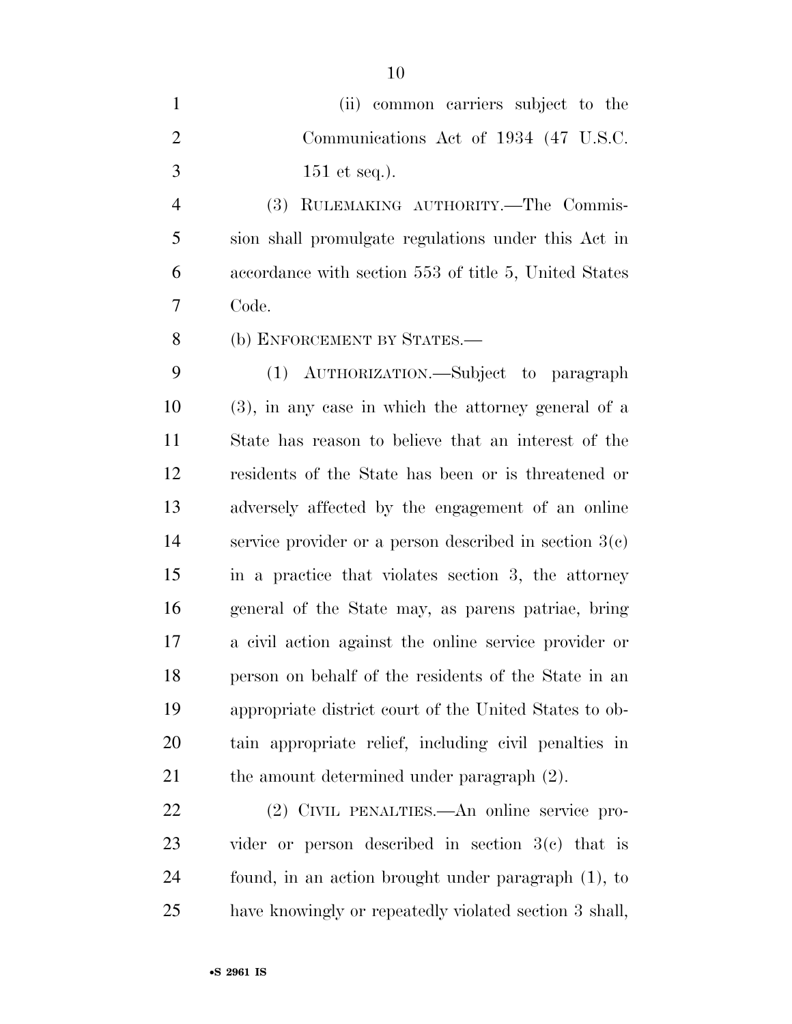| (ii) common carriers subject to the   |
|---------------------------------------|
| Communications Act of 1934 (47 U.S.C. |
| $151$ et seq.).                       |

 (3) RULEMAKING AUTHORITY.—The Commis- sion shall promulgate regulations under this Act in accordance with section 553 of title 5, United States Code.

(b) ENFORCEMENT BY STATES.—

 (1) AUTHORIZATION.—Subject to paragraph (3), in any case in which the attorney general of a State has reason to believe that an interest of the residents of the State has been or is threatened or adversely affected by the engagement of an online service provider or a person described in section 3(c) in a practice that violates section 3, the attorney general of the State may, as parens patriae, bring a civil action against the online service provider or person on behalf of the residents of the State in an appropriate district court of the United States to ob- tain appropriate relief, including civil penalties in 21 the amount determined under paragraph  $(2)$ .

 (2) CIVIL PENALTIES.—An online service pro- vider or person described in section 3(c) that is found, in an action brought under paragraph (1), to have knowingly or repeatedly violated section 3 shall,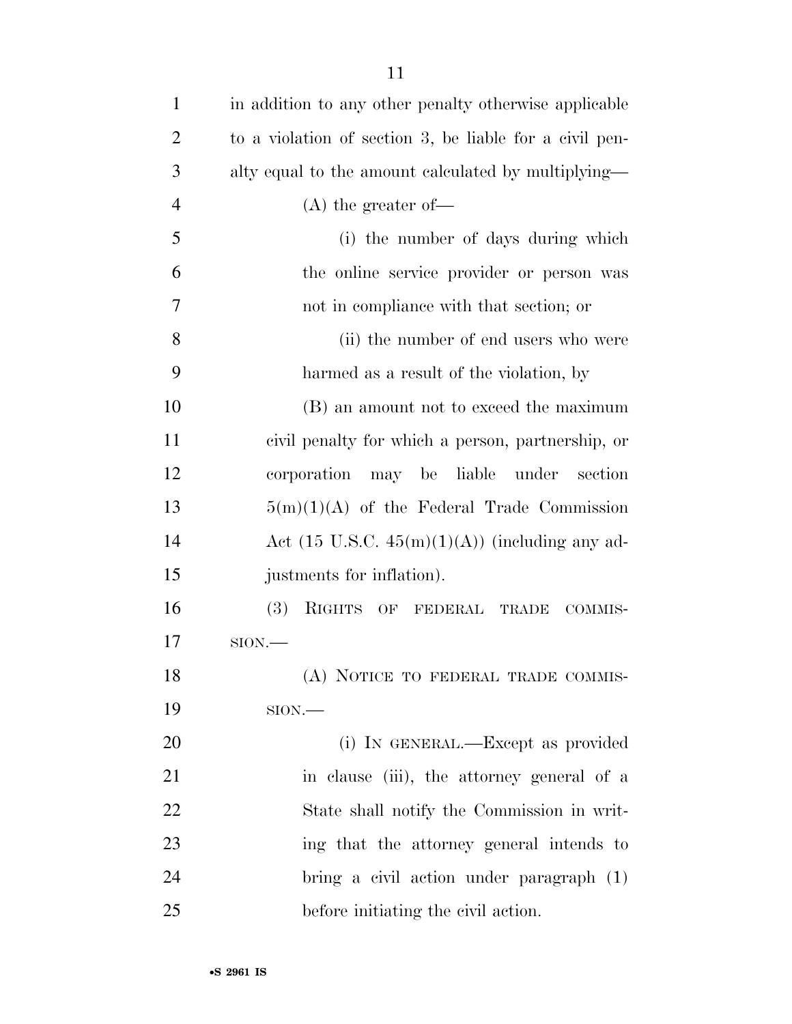| $\mathbf{1}$   | in addition to any other penalty otherwise applicable     |
|----------------|-----------------------------------------------------------|
| $\overline{2}$ | to a violation of section 3, be liable for a civil pen-   |
| 3              | alty equal to the amount calculated by multiplying—       |
| $\overline{4}$ | $(A)$ the greater of-                                     |
| 5              | (i) the number of days during which                       |
| 6              | the online service provider or person was                 |
| 7              | not in compliance with that section; or                   |
| 8              | (ii) the number of end users who were                     |
| 9              | harmed as a result of the violation, by                   |
| 10             | (B) an amount not to exceed the maximum                   |
| 11             | civil penalty for which a person, partnership, or         |
| 12             | corporation<br>may be liable<br>under<br>section          |
| 13             | $5(m)(1)(A)$ of the Federal Trade Commission              |
| 14             | Act $(15 \text{ U.S.C. } 45(m)(1)(A))$ (including any ad- |
| 15             | justments for inflation).                                 |
| 16             | (3)<br>RIGHTS OF FEDERAL TRADE COMMIS-                    |
| 17             | $SION$ .                                                  |
| 18             | (A) NOTICE TO FEDERAL TRADE COMMIS-                       |
| 19             | $SION$ .                                                  |
| 20             | (i) IN GENERAL.—Except as provided                        |
| 21             | in clause (iii), the attorney general of a                |
| 22             | State shall notify the Commission in writ-                |
| 23             | ing that the attorney general intends to                  |
| 24             | bring a civil action under paragraph (1)                  |
| 25             | before initiating the civil action.                       |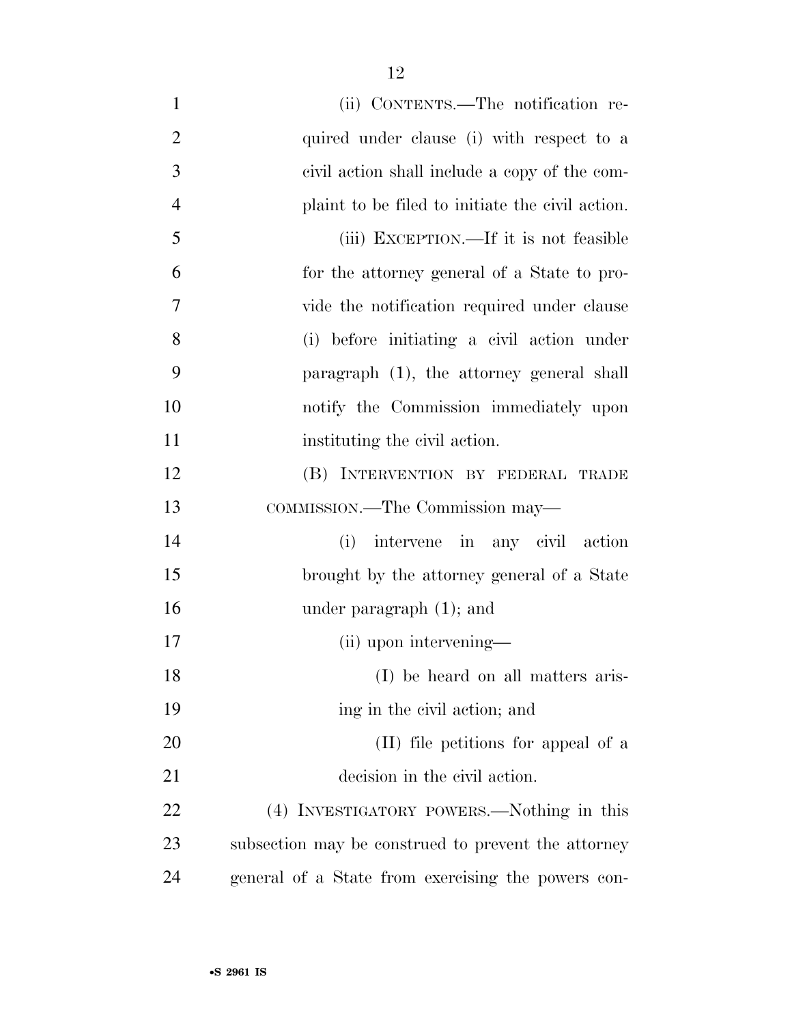| $\mathbf{1}$   | (ii) CONTENTS.—The notification re-                 |
|----------------|-----------------------------------------------------|
| $\overline{2}$ | quired under clause (i) with respect to a           |
| 3              | civil action shall include a copy of the com-       |
| $\overline{4}$ | plaint to be filed to initiate the civil action.    |
| 5              | (iii) EXCEPTION.—If it is not feasible              |
| 6              | for the attorney general of a State to pro-         |
| 7              | vide the notification required under clause         |
| 8              | (i) before initiating a civil action under          |
| 9              | paragraph (1), the attorney general shall           |
| 10             | notify the Commission immediately upon              |
| 11             | instituting the civil action.                       |
| 12             | (B) INTERVENTION BY FEDERAL TRADE                   |
| 13             | COMMISSION.—The Commission may—                     |
| 14             | intervene in any civil action<br>(i)                |
| 15             | brought by the attorney general of a State          |
| 16             | under paragraph $(1)$ ; and                         |
| 17             | (ii) upon intervening—                              |
| 18             | (I) be heard on all matters aris-                   |
| 19             | ing in the civil action; and                        |
| 20             | (II) file petitions for appeal of a                 |
| 21             | decision in the civil action.                       |
| 22             | (4) INVESTIGATORY POWERS.—Nothing in this           |
| 23             | subsection may be construed to prevent the attorney |
| 24             | general of a State from exercising the powers con-  |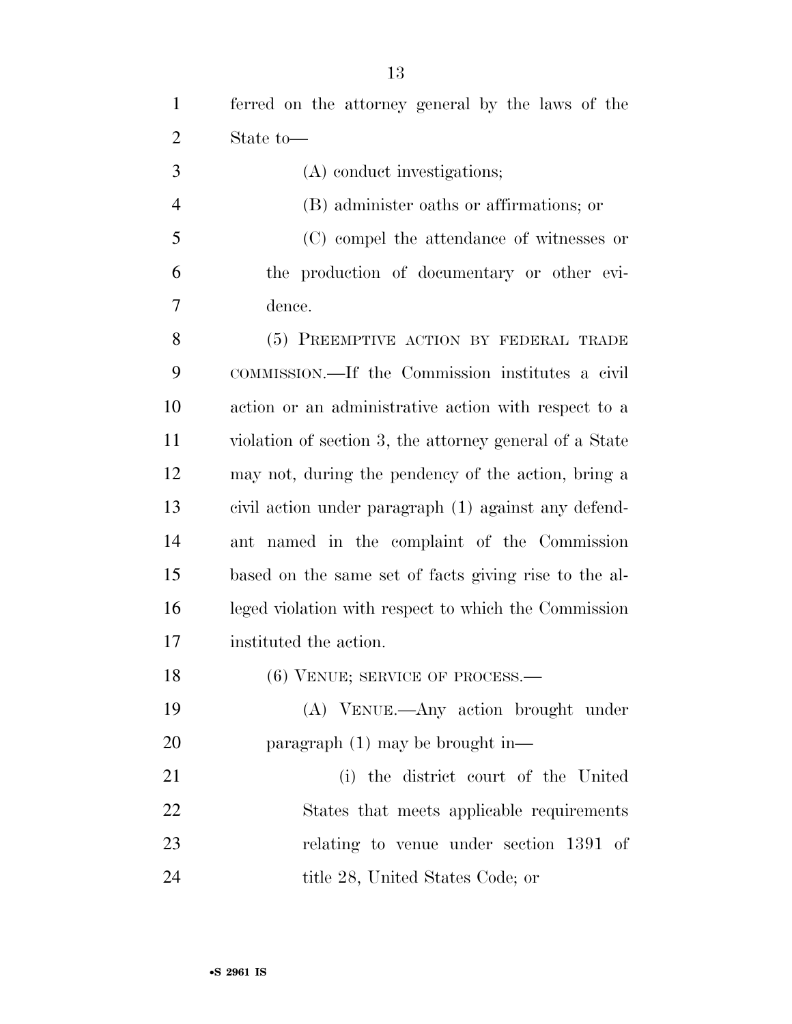ferred on the attorney general by the laws of the State to—

- (A) conduct investigations;
- (B) administer oaths or affirmations; or
- (C) compel the attendance of witnesses or the production of documentary or other evi-dence.

 (5) PREEMPTIVE ACTION BY FEDERAL TRADE COMMISSION.—If the Commission institutes a civil action or an administrative action with respect to a violation of section 3, the attorney general of a State may not, during the pendency of the action, bring a civil action under paragraph (1) against any defend- ant named in the complaint of the Commission based on the same set of facts giving rise to the al- leged violation with respect to which the Commission instituted the action.

- 18 (6) VENUE; SERVICE OF PROCESS.—
- (A) VENUE.—Any action brought under paragraph (1) may be brought in—

 (i) the district court of the United States that meets applicable requirements relating to venue under section 1391 of 24 title 28, United States Code; or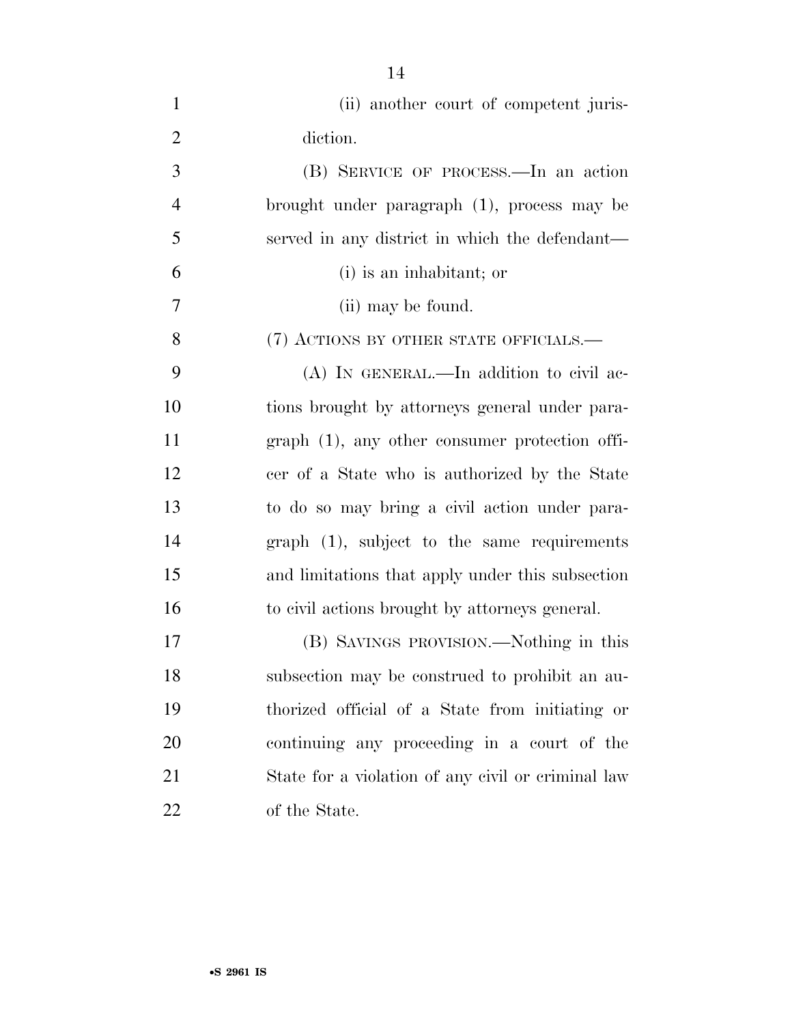| $\mathbf{1}$   | (ii) another court of competent juris-             |
|----------------|----------------------------------------------------|
| $\overline{2}$ | diction.                                           |
| 3              | (B) SERVICE OF PROCESS.—In an action               |
| $\overline{4}$ | brought under paragraph (1), process may be        |
| 5              | served in any district in which the defendant—     |
| 6              | (i) is an inhabitant; or                           |
| $\tau$         | (ii) may be found.                                 |
| 8              | (7) ACTIONS BY OTHER STATE OFFICIALS.—             |
| 9              | $(A)$ In GENERAL.—In addition to civil ac-         |
| 10             | tions brought by attorneys general under para-     |
| 11             | $graph(1)$ , any other consumer protection offi-   |
| 12             | cer of a State who is authorized by the State      |
| 13             | to do so may bring a civil action under para-      |
| 14             | $graph$ $(1)$ , subject to the same requirements   |
| 15             | and limitations that apply under this subsection   |
| 16             | to civil actions brought by attorneys general.     |
| 17             | (B) SAVINGS PROVISION.—Nothing in this             |
| 18             | subsection may be construed to prohibit an au-     |
| 19             | thorized official of a State from initiating or    |
| 20             | continuing any proceeding in a court of the        |
| 21             | State for a violation of any civil or criminal law |
| 22             | of the State.                                      |